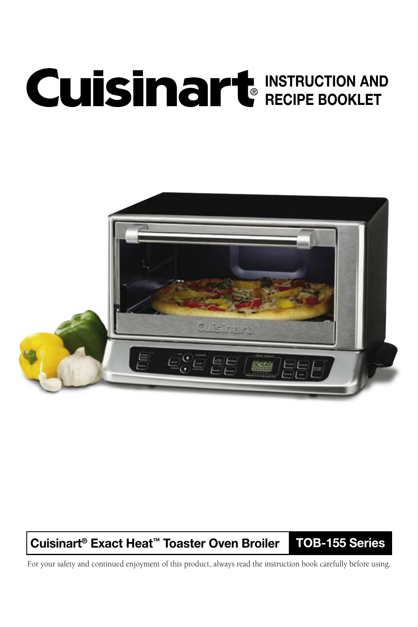# INSTRUCTION AND RECIPE BOOKLET



## Cuisinart® Exact Heat™ Toaster Oven Broiler TOB-155 Series

For your safety and continued enjoyment of this product, always read the instruction book carefully before using.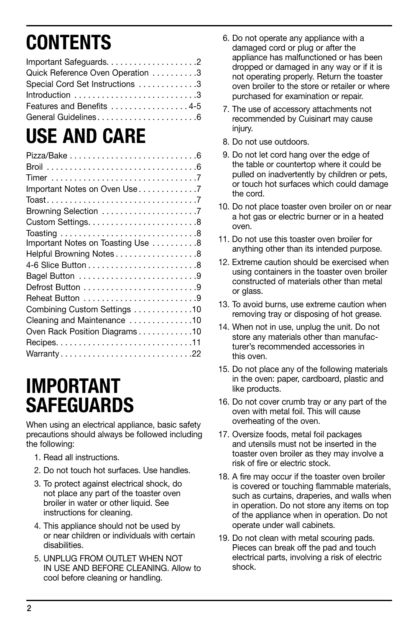# **CONTENTS**

| Quick Reference Oven Operation 3 |  |
|----------------------------------|--|
| Special Cord Set Instructions 3  |  |
|                                  |  |
| Features and Benefits 4-5        |  |
| General Guidelines6              |  |

# USE AND CARE

| Important Notes on Oven Use 7     |
|-----------------------------------|
|                                   |
| Browning Selection 7              |
|                                   |
|                                   |
| Important Notes on Toasting Use 8 |
| Helpful Browning Notes8           |
|                                   |
|                                   |
|                                   |
| Reheat Button 9                   |
| Combining Custom Settings 10      |
| Cleaning and Maintenance 10       |
| Oven Rack Position Diagrams10     |
|                                   |
| Warranty22                        |

# IMPORTANT **SAFEGUARDS**

When using an electrical appliance, basic safety precautions should always be followed including the following:

- 1. Read all instructions.
- 2. Do not touch hot surfaces. Use handles.
- 3. To protect against electrical shock, do not place any part of the toaster oven broiler in water or other liquid. See instructions for cleaning.
- 4. This appliance should not be used by or near children or individuals with certain disabilities.
- 5. UNPLUG FROM OUTLET WHEN NOT IN USE AND BEFORE CLEANING. Allow to cool before cleaning or handling.
- 6. Do not operate any appliance with a damaged cord or plug or after the appliance has malfunctioned or has been dropped or damaged in any way or if it is not operating properly. Return the toaster oven broiler to the store or retailer or where purchased for examination or repair.
- 7. The use of accessory attachments not recommended by Cuisinart may cause injury.
- 8. Do not use outdoors.
- 9. Do not let cord hang over the edge of the table or countertop where it could be pulled on inadvertently by children or pets, or touch hot surfaces which could damage the cord.
- 10. Do not place toaster oven broiler on or near a hot gas or electric burner or in a heated oven.
- 11. Do not use this toaster oven broiler for anything other than its intended purpose.
- 12. Extreme caution should be exercised when using containers in the toaster oven broiler constructed of materials other than metal or glass.
- 13. To avoid burns, use extreme caution when removing tray or disposing of hot grease.
- 14. When not in use, unplug the unit. Do not store any materials other than manufacturer's recommended accessories in this oven.
- 15. Do not place any of the following materials in the oven: paper, cardboard, plastic and like products.
- 16. Do not cover crumb tray or any part of the oven with metal foil. This will cause overheating of the oven.
- 17. Oversize foods, metal foil packages and utensils must not be inserted in the toaster oven broiler as they may involve a risk of fire or electric stock.
- 18. A fire may occur if the toaster oven broiler is covered or touching flammable materials, such as curtains, draperies, and walls when in operation. Do not store any items on top of the appliance when in operation. Do not operate under wall cabinets.
- 19. Do not clean with metal scouring pads. Pieces can break off the pad and touch electrical parts, involving a risk of electric shock.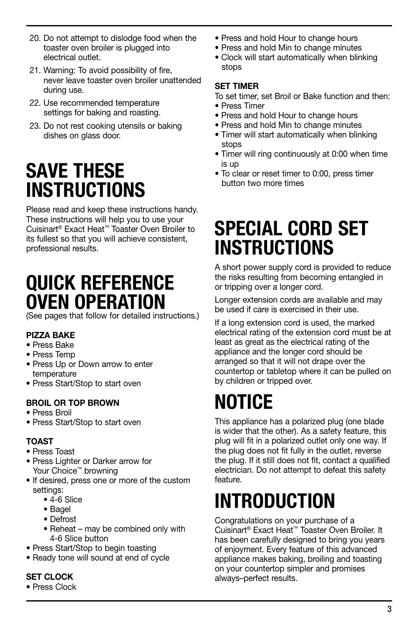- 20. Do not attempt to dislodge food when the toaster oven broiler is plugged into electrical outlet.
- 21. Warning: To avoid possibility of fire, never leave toaster oven broiler unattended during use.
- 22. Use recommended temperature settings for baking and roasting.
- 23. Do not rest cooking utensils or baking dishes on glass door.

# SAVE THESE **INSTRUCTIONS**

Please read and keep these instructions handy. These instructions will help you to use your Cuisinart® Exact Heat™ Toaster Oven Broiler to its fullest so that you will achieve consistent, professional results.

# QUICK REFERENCE OVEN OPERATION

(See pages that follow for detailed instructions.)

#### PIZZA BAKE

- Press Bake
- Press Temp
- Press Up or Down arrow to enter temperature
- Press Start/Stop to start oven

#### BROIL OR TOP BROWN

- Press Broil
- Press Start/Stop to start oven

#### TOAST

- Press Toast
- Press Lighter or Darker arrow for Your Choice™ browning
- If desired, press one or more of the custom settings:
	- 4-6 Slice
	- Bagel
	- Defrost
	- Reheat may be combined only with 4-6 Slice button
- Press Start/Stop to begin toasting
- Ready tone will sound at end of cycle

#### SET CLOCK

• Press Clock

- Press and hold Hour to change hours
- Press and hold Min to change minutes
- Clock will start automatically when blinking stops

#### SET TIMER

To set timer, set Broil or Bake function and then:

- Press Timer
- Press and hold Hour to change hours
- Press and hold Min to change minutes
- Timer will start automatically when blinking stops
- Timer will ring continuously at 0:00 when time is up
- To clear or reset timer to 0:00, press timer button two more times

# SPECIAL CORD SET **INSTRUCTIONS**

A short power supply cord is provided to reduce the risks resulting from becoming entangled in or tripping over a longer cord.

Longer extension cords are available and may be used if care is exercised in their use.

If a long extension cord is used, the marked electrical rating of the extension cord must be at least as great as the electrical rating of the appliance and the longer cord should be arranged so that it will not drape over the countertop or tabletop where it can be pulled on by children or tripped over.

# NOTICE

This appliance has a polarized plug (one blade is wider that the other). As a safety feature, this plug will fit in a polarized outlet only one way. If the plug does not fit fully in the outlet, reverse the plug. If it still does not fit, contact a qualified electrician. Do not attempt to defeat this safety feature.

# INTRODUCTION

Congratulations on your purchase of a Cuisinart® Exact Heat™ Toaster Oven Broiler. It has been carefully designed to bring you years of enjoyment. Every feature of this advanced appliance makes baking, broiling and toasting on your countertop simpler and promises always–perfect results.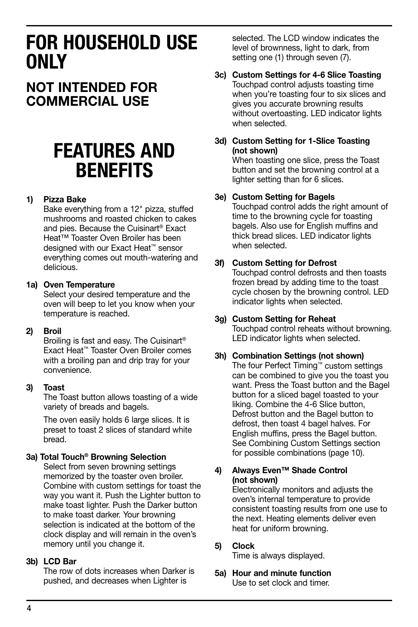# FOR HOUSEHOLD USE ONLY

## NOT INTENDED FOR COMMERCIAL USE

# FEATURES AND **BENEFITS**

#### 1) Pizza Bake

Bake everything from a 12" pizza, stuffed mushrooms and roasted chicken to cakes and pies. Because the Cuisinart® Exact Heat™ Toaster Oven Broiler has been designed with our Exact Heat™ sensor everything comes out mouth-watering and delicious.

#### 1a) Oven Temperature

 Select your desired temperature and the oven will beep to let you know when your temperature is reached.

#### 2) Broil

 Broiling is fast and easy. The Cuisinart® Exact Heat™ Toaster Oven Broiler comes with a broiling pan and drip tray for your convenience.

#### 3) Toast

 The Toast button allows toasting of a wide variety of breads and bagels.

The oven easily holds 6 large slices. It is preset to toast 2 slices of standard white bread.

#### 3a) Total Touch® Browning Selection

 Select from seven browning settings memorized by the toaster oven broiler. Combine with custom settings for toast the way you want it. Push the Lighter button to make toast lighter. Push the Darker button to make toast darker. Your browning selection is indicated at the bottom of the clock display and will remain in the oven's memory until you change it.

#### 3b) LCD Bar

 The row of dots increases when Darker is pushed, and decreases when Lighter is

selected. The LCD window indicates the level of brownness, light to dark, from setting one (1) through seven (7).

## 3c) Custom Settings for 4-6 Slice Toasting

 Touchpad control adjusts toasting time when you're toasting four to six slices and gives you accurate browning results without overtoasting. LED indicator lights when selected.

3d) Custom Setting for 1-Slice Toasting (not shown)

 When toasting one slice, press the Toast button and set the browning control at a lighter setting than for 6 slices.

#### 3e) Custom Setting for Bagels

 Touchpad control adds the right amount of time to the browning cycle for toasting bagels. Also use for English muffins and thick bread slices. LED indicator lights when selected.

#### 3f) Custom Setting for Defrost

 Touchpad control defrosts and then toasts frozen bread by adding time to the toast cycle chosen by the browning control. LED indicator lights when selected.

#### 3g) Custom Setting for Reheat

 Touchpad control reheats without browning. LED indicator lights when selected.

#### 3h) Combination Settings (not shown)

 The four Perfect Timing™ custom settings can be combined to give you the toast you want. Press the Toast button and the Bagel button for a sliced bagel toasted to your liking. Combine the 4-6 Slice button, Defrost button and the Bagel button to defrost, then toast 4 bagel halves. For English muffins, press the Bagel button. See Combining Custom Settings section for possible combinations (page 10).

#### 4) Always Even™ Shade Control (not shown)

 Electronically monitors and adjusts the oven's internal temperature to provide consistent toasting results from one use to the next. Heating elements deliver even heat for uniform browning.

#### 5) Clock

Time is always displayed.

5a) Hour and minute function Use to set clock and timer.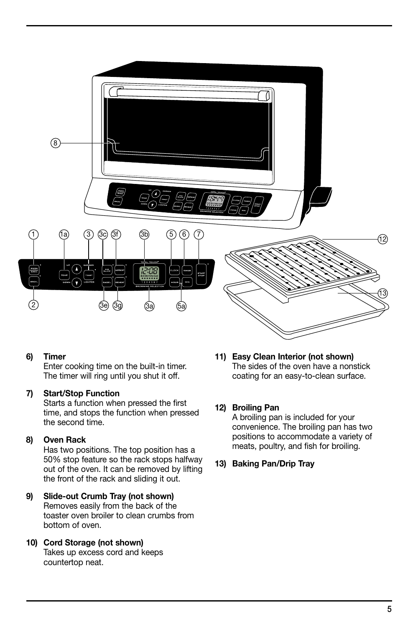

#### 6) Timer

 Enter cooking time on the built-in timer. The timer will ring until you shut it off.

#### 7) Start/Stop Function

 Starts a function when pressed the first time, and stops the function when pressed the second time.

#### 8) Oven Rack

 Has two positions. The top position has a 50% stop feature so the rack stops halfway out of the oven. It can be removed by lifting the front of the rack and sliding it out.

#### 9) Slide-out Crumb Tray (not shown) Removes easily from the back of the toaster oven broiler to clean crumbs from bottom of oven.

10) Cord Storage (not shown) Takes up excess cord and keeps countertop neat.

11) Easy Clean Interior (not shown) The sides of the oven have a nonstick coating for an easy-to-clean surface.

#### 12) Broiling Pan

 A broiling pan is included for your convenience. The broiling pan has two positions to accommodate a variety of meats, poultry, and fish for broiling.

13) Baking Pan/Drip Tray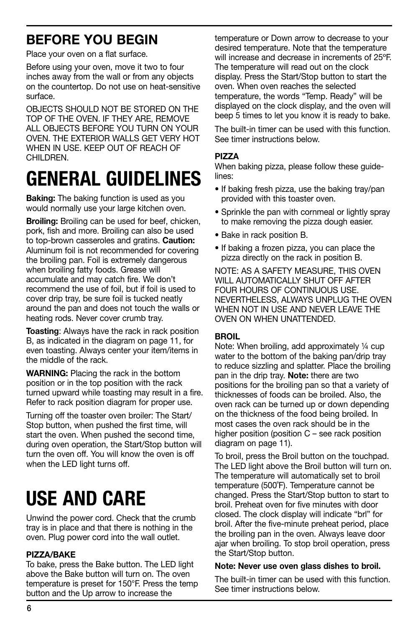# Before you begin

Place your oven on a flat surface.

Before using your oven, move it two to four inches away from the wall or from any objects on the countertop. Do not use on heat-sensitive surface.

OBJECTS SHOULD NOT BE STORED ON THE TOP OF THE OVEN. IF THEY ARE, REMOVE ALL OBJECTS BEFORE YOU TURN ON YOUR OVEN. THE EXTERIOR WALLS GET VERY HOT WHEN IN USE. KEEP OUT OF REACH OF CHII DREN

# GENERAL GUIDELINES

**Baking:** The baking function is used as you would normally use your large kitchen oven.

Broiling: Broiling can be used for beef, chicken, pork, fish and more. Broiling can also be used to top-brown casseroles and gratins. Caution: Aluminum foil is not recommended for covering the broiling pan. Foil is extremely dangerous when broiling fatty foods. Grease will accumulate and may catch fire. We don't recommend the use of foil, but if foil is used to cover drip tray, be sure foil is tucked neatly around the pan and does not touch the walls or heating rods. Never cover crumb tray.

**Toasting:** Always have the rack in rack position B, as indicated in the diagram on page 11, for even toasting. Always center your item/items in the middle of the rack.

WARNING: Placing the rack in the bottom position or in the top position with the rack turned upward while toasting may result in a fire. Refer to rack position diagram for proper use.

Turning off the toaster oven broiler: The Start/ Stop button, when pushed the first time, will start the oven. When pushed the second time, during oven operation, the Start/Stop button will turn the oven off. You will know the oven is off when the LED light turns off.

# USE AND CARE

Unwind the power cord. Check that the crumb tray is in place and that there is nothing in the oven. Plug power cord into the wall outlet.

#### PIZZA/BAKE

To bake, press the Bake button. The LED light above the Bake button will turn on. The oven temperature is preset for 150°F. Press the temp button and the Up arrow to increase the

temperature or Down arrow to decrease to your desired temperature. Note that the temperature will increase and decrease in increments of 25ºF. The temperature will read out on the clock display. Press the Start/Stop button to start the oven. When oven reaches the selected temperature, the words "Temp. Ready" will be displayed on the clock display, and the oven will beep 5 times to let you know it is ready to bake.

The built-in timer can be used with this function. See timer instructions below.

#### Pizza

When baking pizza, please follow these guidelines:

- If baking fresh pizza, use the baking tray/pan provided with this toaster oven.
- Sprinkle the pan with cornmeal or lightly spray to make removing the pizza dough easier.
- Bake in rack position B.
- If baking a frozen pizza, you can place the pizza directly on the rack in position B.

NOTE: AS A SAFETY MEASURE, THIS OVEN WILL AUTOMATICALLY SHUT OFF AFTER FOUR HOURS OF CONTINUOUS USE. NEVERTHELESS, ALWAYS UNPLUG THE OVEN WHEN NOT IN USE AND NEVER LEAVE THE OVEN ON WHEN UNATTENDED.

#### BROIL

Note: When broiling, add approximately ¼ cup water to the bottom of the baking pan/drip tray to reduce sizzling and splatter. Place the broiling pan in the drip tray. Note: there are two positions for the broiling pan so that a variety of thicknesses of foods can be broiled. Also, the oven rack can be turned up or down depending on the thickness of the food being broiled. In most cases the oven rack should be in the higher position (position C – see rack position diagram on page 11).

To broil, press the Broil button on the touchpad. The LED light above the Broil button will turn on. The temperature will automatically set to broil temperature (500˚F). Temperature cannot be changed. Press the Start/Stop button to start to broil. Preheat oven for five minutes with door closed. The clock display will indicate "brl" for broil. After the five-minute preheat period, place the broiling pan in the oven. Always leave door ajar when broiling. To stop broil operation, press the Start/Stop button.

#### Note: Never use oven glass dishes to broil.

The built-in timer can be used with this function. See timer instructions below.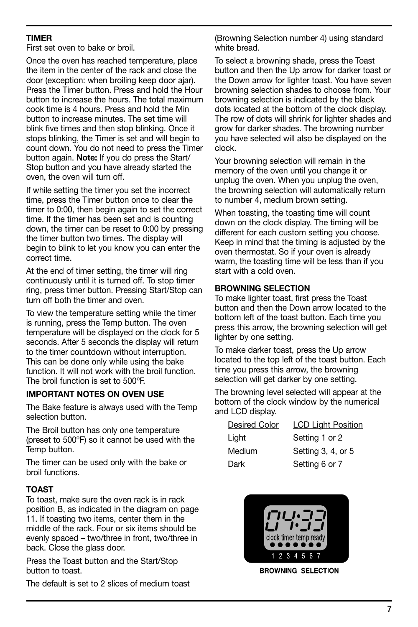#### TIMER

First set oven to bake or broil.

Once the oven has reached temperature, place the item in the center of the rack and close the door (exception: when broiling keep door ajar). Press the Timer button. Press and hold the Hour button to increase the hours. The total maximum cook time is 4 hours. Press and hold the Min button to increase minutes. The set time will blink five times and then stop blinking. Once it stops blinking, the Timer is set and will begin to count down. You do not need to press the Timer button again. Note: If you do press the Start/ Stop button and you have already started the oven, the oven will turn off.

If while setting the timer you set the incorrect time, press the Timer button once to clear the timer to 0:00, then begin again to set the correct time. If the timer has been set and is counting down, the timer can be reset to 0:00 by pressing the timer button two times. The display will begin to blink to let you know you can enter the correct time.

At the end of timer setting, the timer will ring continuously until it is turned off. To stop timer ring, press timer button. Pressing Start/Stop can turn off both the timer and oven.

To view the temperature setting while the timer is running, press the Temp button. The oven temperature will be displayed on the clock for 5 seconds. After 5 seconds the display will return to the timer countdown without interruption. This can be done only while using the bake function. It will not work with the broil function. The broil function is set to 500ºF.

#### IMPORTANT NOTES ON OVEN USE

The Bake feature is always used with the Temp selection button.

The Broil button has only one temperature (preset to 500ºF) so it cannot be used with the Temp button.

The timer can be used only with the bake or broil functions.

#### TOAST

To toast, make sure the oven rack is in rack position B, as indicated in the diagram on page 11. If toasting two items, center them in the middle of the rack. Four or six items should be evenly spaced – two/three in front, two/three in back. Close the glass door.

Press the Toast button and the Start/Stop button to toast.

The default is set to 2 slices of medium toast

(Browning Selection number 4) using standard white bread.

To select a browning shade, press the Toast button and then the Up arrow for darker toast or the Down arrow for lighter toast. You have seven browning selection shades to choose from. Your browning selection is indicated by the black dots located at the bottom of the clock display. The row of dots will shrink for lighter shades and grow for darker shades. The browning number you have selected will also be displayed on the clock.

Your browning selection will remain in the memory of the oven until you change it or unplug the oven. When you unplug the oven, the browning selection will automatically return to number 4, medium brown setting.

When toasting, the toasting time will count down on the clock display. The timing will be different for each custom setting you choose. Keep in mind that the timing is adjusted by the oven thermostat. So if your oven is already warm, the toasting time will be less than if you start with a cold oven.

#### BROWNING SELECTION

To make lighter toast, first press the Toast button and then the Down arrow located to the bottom left of the toast button. Each time you press this arrow, the browning selection will get lighter by one setting.

To make darker toast, press the Up arrow located to the top left of the toast button. Each time you press this arrow, the browning selection will get darker by one setting.

The browning level selected will appear at the bottom of the clock window by the numerical and LCD display.

| <b>Desired Color</b> | <b>LCD Light Position</b> |
|----------------------|---------------------------|
| Light                | Setting 1 or 2            |
| Medium               | Setting 3, 4, or 5        |
| Dark                 | Setting 6 or 7            |



**BROWNING SELECTION**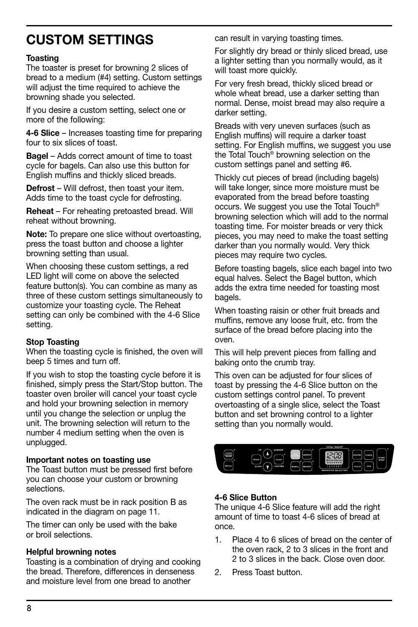# CUSTOM SETTINGS

#### Toasting

The toaster is preset for browning 2 slices of bread to a medium (#4) setting. Custom settings will adjust the time required to achieve the browning shade you selected.

If you desire a custom setting, select one or more of the following:

4-6 Slice – Increases toasting time for preparing four to six slices of toast.

Bagel – Adds correct amount of time to toast cycle for bagels. Can also use this button for English muffins and thickly sliced breads.

Defrost – Will defrost, then toast your item. Adds time to the toast cycle for defrosting.

**Reheat** – For reheating pretoasted bread. Will reheat without browning.

Note: To prepare one slice without overtoasting, press the toast button and choose a lighter browning setting than usual.

When choosing these custom settings, a red LED light will come on above the selected feature button(s). You can combine as many as three of these custom settings simultaneously to customize your toasting cycle. The Reheat setting can only be combined with the 4-6 Slice setting.

#### Stop Toasting

When the toasting cycle is finished, the oven will beep 5 times and turn off.

If you wish to stop the toasting cycle before it is finished, simply press the Start/Stop button. The toaster oven broiler will cancel your toast cycle and hold your browning selection in memory until you change the selection or unplug the unit. The browning selection will return to the number 4 medium setting when the oven is unplugged.

#### Important notes on toasting use

The Toast button must be pressed first before you can choose your custom or browning selections.

The oven rack must be in rack position B as indicated in the diagram on page 11.

The timer can only be used with the bake or broil selections.

#### Helpful browning notes

Toasting is a combination of drying and cooking the bread. Therefore, differences in denseness and moisture level from one bread to another

can result in varying toasting times.

For slightly dry bread or thinly sliced bread, use a lighter setting than you normally would, as it will toast more quickly.

For very fresh bread, thickly sliced bread or whole wheat bread, use a darker setting than normal. Dense, moist bread may also require a darker setting.

Breads with very uneven surfaces (such as English muffins) will require a darker toast setting. For English muffins, we suggest you use the Total Touch® browning selection on the custom settings panel and setting #6.

Thickly cut pieces of bread (including bagels) will take longer, since more moisture must be evaporated from the bread before toasting occurs. We suggest you use the Total Touch® browning selection which will add to the normal toasting time. For moister breads or very thick pieces, you may need to make the toast setting darker than you normally would. Very thick pieces may require two cycles.

Before toasting bagels, slice each bagel into two equal halves. Select the Bagel button, which adds the extra time needed for toasting most bagels.

When toasting raisin or other fruit breads and muffins, remove any loose fruit, etc. from the surface of the bread before placing into the oven.

This will help prevent pieces from falling and baking onto the crumb tray.

This oven can be adjusted for four slices of toast by pressing the 4-6 Slice button on the custom settings control panel. To prevent overtoasting of a single slice, select the Toast button and set browning control to a lighter setting than you normally would.



#### 4-6 Slice Button

The unique 4-6 Slice feature will add the right amount of time to toast 4-6 slices of bread at once.

- 1. Place 4 to 6 slices of bread on the center of the oven rack, 2 to 3 slices in the front and 2 to 3 slices in the back. Close oven door.
- 2. Press Toast button.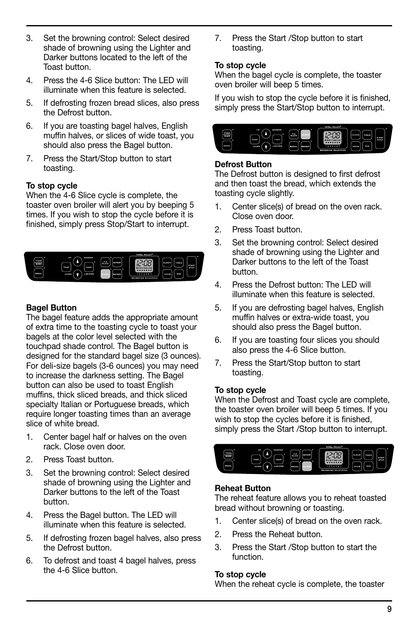- 3. Set the browning control: Select desired shade of browning using the Lighter and Darker buttons located to the left of the Toast button.
- 4. Press the 4-6 Slice button: The LED will illuminate when this feature is selected.
- 5. If defrosting frozen bread slices, also press the Defrost button.
- 6. If you are toasting bagel halves, English muffin halves, or slices of wide toast, you should also press the Bagel button.
- 7. Press the Start/Stop button to start toasting.

#### To stop cycle

When the 4-6 Slice cycle is complete, the toaster oven broiler will alert you by beeping 5 times. If you wish to stop the cycle before it is finished, simply press Stop/Start to interrupt.



#### Bagel Button

The bagel feature adds the appropriate amount of extra time to the toasting cycle to toast your bagels at the color level selected with the touchpad shade control. The Bagel button is designed for the standard bagel size (3 ounces). For deli-size bagels (3-6 ounces) you may need to increase the darkness setting. The Bagel button can also be used to toast English muffins, thick sliced breads, and thick sliced specialty Italian or Portuguese breads, which require longer toasting times than an average slice of white bread.

- 1. Center bagel half or halves on the oven rack. Close oven door.
- 2. Press Toast button.
- 3. Set the browning control: Select desired shade of browning using the Lighter and Darker buttons to the left of the Toast button.
- 4. Press the Bagel button. The LED will illuminate when this feature is selected.
- 5. If defrosting frozen bagel halves, also press the Defrost button.
- 6. To defrost and toast 4 bagel halves, press the 4-6 Slice button.

7. Press the Start /Stop button to start toasting.

#### To stop cycle

When the bagel cycle is complete, the toaster oven broiler will beep 5 times.

If you wish to stop the cycle before it is finished, simply press the Start/Stop button to interrupt.



#### Defrost Button

The Defrost button is designed to first defrost and then toast the bread, which extends the toasting cycle slightly.

- 1. Center slice(s) of bread on the oven rack. Close oven door.
- 2. Press Toast button.
- 3. Set the browning control: Select desired shade of browning using the Lighter and Darker buttons to the left of the Toast button.
- 4. Press the Defrost button: The LED will illuminate when this feature is selected.
- 5. If you are defrosting bagel halves, English muffin halves or extra-wide toast, you should also press the Bagel button.
- 6. If you are toasting four slices you should also press the 4-6 Slice button.
- 7. Press the Start/Stop button to start toasting.

#### To stop cycle

When the Defrost and Toast cycle are complete, the toaster oven broiler will beep 5 times. If you wish to stop the cycles before it is finished, simply press the Start /Stop button to interrupt.



#### Reheat Button

The reheat feature allows you to reheat toasted bread without browning or toasting.

- 1. Center slice(s) of bread on the oven rack.
- 2. Press the Reheat button.
- 3. Press the Start /Stop button to start the function.

#### To stop cycle

When the reheat cycle is complete, the toaster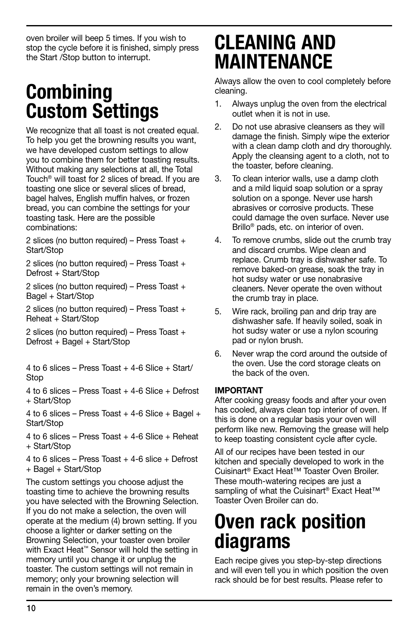oven broiler will beep 5 times. If you wish to stop the cycle before it is finished, simply press the Start /Stop button to interrupt.

# **Combining** Custom Settings

We recognize that all toast is not created equal. To help you get the browning results you want, we have developed custom settings to allow you to combine them for better toasting results. Without making any selections at all, the Total Touch® will toast for 2 slices of bread. If you are toasting one slice or several slices of bread, bagel halves, English muffin halves, or frozen bread, you can combine the settings for your toasting task. Here are the possible combinations:

2 slices (no button required) – Press Toast + Start/Stop

2 slices (no button required) – Press Toast + Defrost + Start/Stop

2 slices (no button required) – Press Toast + Bagel + Start/Stop

2 slices (no button required) – Press Toast + Reheat + Start/Stop

2 slices (no button required) – Press Toast + Defrost + Bagel + Start/Stop

4 to 6 slices – Press Toast + 4-6 Slice + Start/ Stop

4 to 6 slices – Press Toast + 4-6 Slice + Defrost + Start/Stop

4 to 6 slices – Press Toast  $+$  4-6 Slice  $+$  Bagel  $+$ Start/Stop

4 to 6 slices – Press Toast  $+$  4-6 Slice  $+$  Reheat + Start/Stop

4 to 6 slices – Press Toast  $+$  4-6 slice  $+$  Defrost + Bagel + Start/Stop

The custom settings you choose adjust the toasting time to achieve the browning results you have selected with the Browning Selection. If you do not make a selection, the oven will operate at the medium (4) brown setting. If you choose a lighter or darker setting on the Browning Selection, your toaster oven broiler with Exact Heat™ Sensor will hold the setting in memory until you change it or unplug the toaster. The custom settings will not remain in memory; only your browning selection will remain in the oven's memory.

# CLEANING AND MAINTENANCE

Always allow the oven to cool completely before cleaning.

- 1. Always unplug the oven from the electrical outlet when it is not in use.
- 2. Do not use abrasive cleansers as they will damage the finish. Simply wipe the exterior with a clean damp cloth and dry thoroughly. Apply the cleansing agent to a cloth, not to the toaster, before cleaning.
- 3. To clean interior walls, use a damp cloth and a mild liquid soap solution or a spray solution on a sponge. Never use harsh abrasives or corrosive products. These could damage the oven surface. Never use Brillo® pads, etc. on interior of oven.
- 4. To remove crumbs, slide out the crumb tray and discard crumbs. Wipe clean and replace. Crumb tray is dishwasher safe. To remove baked-on grease, soak the tray in hot sudsy water or use nonabrasive cleaners. Never operate the oven without the crumb tray in place.
- 5. Wire rack, broiling pan and drip tray are dishwasher safe. If heavily soiled, soak in hot sudsy water or use a nylon scouring pad or nylon brush.
- 6. Never wrap the cord around the outside of the oven. Use the cord storage cleats on the back of the oven.

#### IMPORTANT

After cooking greasy foods and after your oven has cooled, always clean top interior of oven. If this is done on a regular basis your oven will perform like new. Removing the grease will help to keep toasting consistent cycle after cycle.

All of our recipes have been tested in our kitchen and specially developed to work in the Cuisinart® Exact Heat™ Toaster Oven Broiler. These mouth-watering recipes are just a sampling of what the Cuisinart<sup>®</sup> Exact Heat<sup>™</sup> Toaster Oven Broiler can do.

# Oven rack position diagrams

Each recipe gives you step-by-step directions and will even tell you in which position the oven rack should be for best results. Please refer to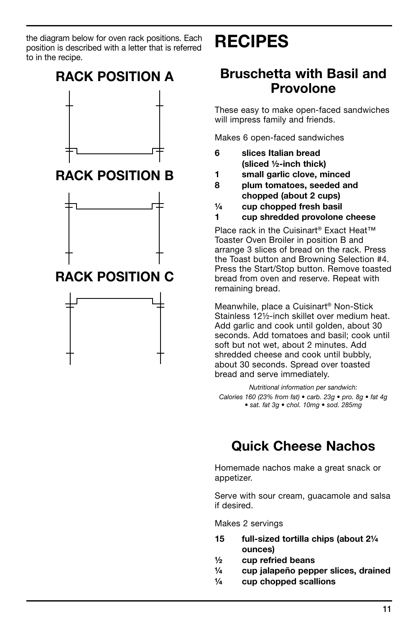the diagram below for oven rack positions. Each position is described with a letter that is referred to in the recipe.

# Recipes

# RACK POSITION A RACK POSITION B RACK POSITION C

## Bruschetta with Basil and Provolone

These easy to make open-faced sandwiches will impress family and friends.

Makes 6 open-faced sandwiches

- 6 slices Italian bread (sliced ½-inch thick)
- 1 small garlic clove, minced
- 8 plum tomatoes, seeded and chopped (about 2 cups)
- $\frac{1}{4}$  cup chopped fresh basil
- 1 cup shredded provolone cheese

Place rack in the Cuisinart<sup>®</sup> Exact Heat<sup>™</sup> Toaster Oven Broiler in position B and arrange 3 slices of bread on the rack. Press the Toast button and Browning Selection #4. Press the Start/Stop button. Remove toasted bread from oven and reserve. Repeat with remaining bread.

Meanwhile, place a Cuisinart® Non-Stick Stainless 12½-inch skillet over medium heat. Add garlic and cook until golden, about 30 seconds. Add tomatoes and basil; cook until soft but not wet, about 2 minutes. Add shredded cheese and cook until bubbly, about 30 seconds. Spread over toasted bread and serve immediately.

*Nutritional information per sandwich: Calories 160 (23% from fat) • carb. 23g • pro. 8g • fat 4g • sat. fat 3g • chol. 10mg • sod. 285mg*

# Quick Cheese Nachos

Homemade nachos make a great snack or appetizer.

Serve with sour cream, guacamole and salsa if desired.

Makes 2 servings

- 15 full-sized tortilla chips (about 2¼ ounces)
- ½ cup refried beans
- ¼ cup jalapeño pepper slices, drained
- ¼ cup chopped scallions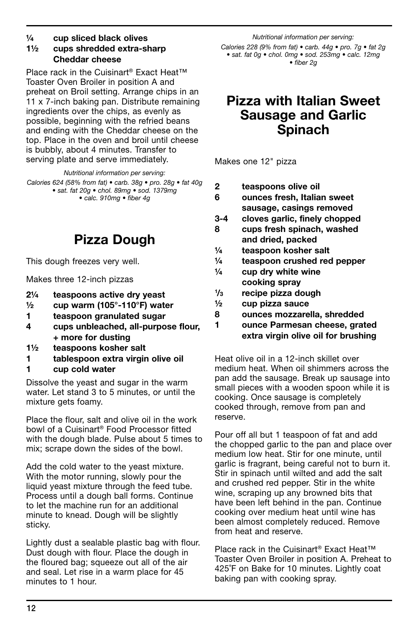#### ¼ cup sliced black olives

#### 1½ cups shredded extra-sharp Cheddar cheese

Place rack in the Cuisinart® Exact Heat™ Toaster Oven Broiler in position A and preheat on Broil setting. Arrange chips in an 11 x 7-inch baking pan. Distribute remaining ingredients over the chips, as evenly as possible, beginning with the refried beans and ending with the Cheddar cheese on the top. Place in the oven and broil until cheese is bubbly, about 4 minutes. Transfer to serving plate and serve immediately.

*Nutritional information per serving:*

*Calories 624 (58% from fat) • carb. 38g • pro. 28g • fat 40g • sat. fat 20g • chol. 89mg • sod. 1379mg • calc. 910mg • fiber 4g*

Pizza Dough

This dough freezes very well.

Makes three 12-inch pizzas

- 2¼ teaspoons active dry yeast
- $\frac{1}{2}$  cup warm (105°-110°F) water
- 1 teaspoon granulated sugar
- 4 cups unbleached, all-purpose flour, + more for dusting
- 1½ teaspoons kosher salt
- 1 tablespoon extra virgin olive oil
- 1 cup cold water

Dissolve the yeast and sugar in the warm water. Let stand 3 to 5 minutes, or until the mixture gets foamy.

Place the flour, salt and olive oil in the work bowl of a Cuisinart® Food Processor fitted with the dough blade. Pulse about 5 times to mix; scrape down the sides of the bowl.

Add the cold water to the yeast mixture. With the motor running, slowly pour the liquid yeast mixture through the feed tube. Process until a dough ball forms. Continue to let the machine run for an additional minute to knead. Dough will be slightly sticky.

Lightly dust a sealable plastic bag with flour. Dust dough with flour. Place the dough in the floured bag; squeeze out all of the air and seal. Let rise in a warm place for 45 minutes to 1 hour.

*Nutritional information per serving: Calories 228 (9% from fat) • carb. 44g • pro. 7g • fat 2g • sat. fat 0g • chol. 0mg • sod. 253mg • calc. 12mg • fiber 2g*

### Pizza with Italian Sweet Sausage and Garlic Spinach

Makes one 12" pizza

- 2 teaspoons olive oil
- 6 ounces fresh, Italian sweet sausage, casings removed
- 3-4 cloves garlic, finely chopped
- 8 cups fresh spinach, washed and dried, packed
- ¼ teaspoon kosher salt
- ¼ teaspoon crushed red pepper
- $\frac{1}{4}$  cup dry white wine cooking spray
- $1/3$ recipe pizza dough
- ½ cup pizza sauce
- 8 ounces mozzarella, shredded
- 1 ounce Parmesan cheese, grated extra virgin olive oil for brushing

Heat olive oil in a 12-inch skillet over medium heat. When oil shimmers across the pan add the sausage. Break up sausage into small pieces with a wooden spoon while it is cooking. Once sausage is completely cooked through, remove from pan and reserve.

Pour off all but 1 teaspoon of fat and add the chopped garlic to the pan and place over medium low heat. Stir for one minute, until garlic is fragrant, being careful not to burn it. Stir in spinach until wilted and add the salt and crushed red pepper. Stir in the white wine, scraping up any browned bits that have been left behind in the pan. Continue cooking over medium heat until wine has been almost completely reduced. Remove from heat and reserve.

Place rack in the Cuisinart<sup>®</sup> Exact Heat<sup>™</sup> Toaster Oven Broiler in position A. Preheat to 425˚F on Bake for 10 minutes. Lightly coat baking pan with cooking spray.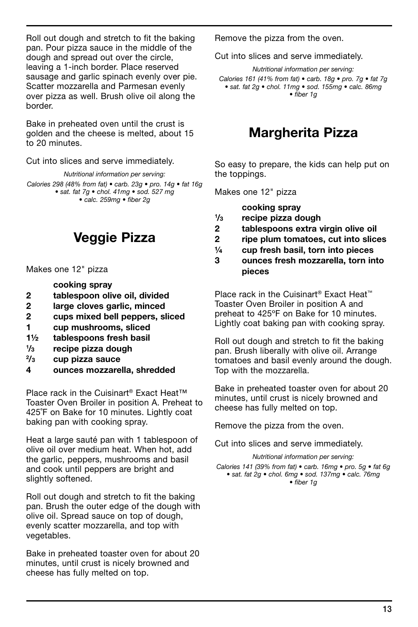Roll out dough and stretch to fit the baking pan. Pour pizza sauce in the middle of the dough and spread out over the circle, leaving a 1-inch border. Place reserved sausage and garlic spinach evenly over pie. Scatter mozzarella and Parmesan evenly over pizza as well. Brush olive oil along the border.

Bake in preheated oven until the crust is golden and the cheese is melted, about 15 to 20 minutes.

Cut into slices and serve immediately.

*Nutritional information per serving: Calories 298 (48% from fat) • carb. 23g • pro. 14g • fat 16g • sat. fat 7g • chol. 41mg • sod. 527 mg • calc. 259mg • fiber 2g*

Veggie Pizza

Makes one 12" pizza

cooking spray

- 2 tablespoon olive oil, divided
- 2 large cloves garlic, minced
- 2 cups mixed bell peppers, sliced
- 1 cup mushrooms, sliced
- 1½ tablespoons fresh basil
- $1/3$ recipe pizza dough
- $2/3$ cup pizza sauce
- 4 ounces mozzarella, shredded

Place rack in the Cuisinart® Exact Heat™ Toaster Oven Broiler in position A. Preheat to 425˚F on Bake for 10 minutes. Lightly coat baking pan with cooking spray.

Heat a large sauté pan with 1 tablespoon of olive oil over medium heat. When hot, add the garlic, peppers, mushrooms and basil and cook until peppers are bright and slightly softened.

Roll out dough and stretch to fit the baking pan. Brush the outer edge of the dough with olive oil. Spread sauce on top of dough, evenly scatter mozzarella, and top with vegetables.

Bake in preheated toaster oven for about 20 minutes, until crust is nicely browned and cheese has fully melted on top.

Remove the pizza from the oven.

Cut into slices and serve immediately.

*Nutritional information per serving: Calories 161 (41% from fat) • carb. 18g • pro. 7g • fat 7g • sat. fat 2g • chol. 11mg • sod. 155mg • calc. 86mg • fiber 1g*

## Margherita Pizza

So easy to prepare, the kids can help put on the toppings.

Makes one 12" pizza

cooking spray

- $1/3$ recipe pizza dough
- 2 tablespoons extra virgin olive oil
- 2 ripe plum tomatoes, cut into slices
- ¼ cup fresh basil, torn into pieces

3 ounces fresh mozzarella, torn into pieces

Place rack in the Cuisinart® Exact Heat™ Toaster Oven Broiler in position A and preheat to 425ºF on Bake for 10 minutes. Lightly coat baking pan with cooking spray.

Roll out dough and stretch to fit the baking pan. Brush liberally with olive oil. Arrange tomatoes and basil evenly around the dough. Top with the mozzarella.

Bake in preheated toaster oven for about 20 minutes, until crust is nicely browned and cheese has fully melted on top.

Remove the pizza from the oven.

Cut into slices and serve immediately.

*Nutritional information per serving: Calories 141 (39% from fat) • carb. 16mg • pro. 5g • fat 6g • sat. fat 2g • chol. 6mg • sod. 137mg • calc. 76mg • fiber 1g*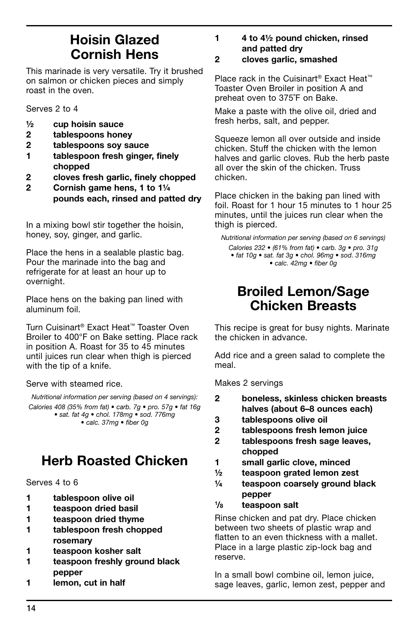## Hoisin Glazed Cornish Hens

This marinade is very versatile. Try it brushed on salmon or chicken pieces and simply roast in the oven.

Serves 2 to 4

- ½ cup hoisin sauce
- 2 tablespoons honey
- 2 tablespoons soy sauce
- 1 tablespoon fresh ginger, finely chopped
- 2 cloves fresh garlic, finely chopped
- 2 Cornish game hens, 1 to 1¼ pounds each, rinsed and patted dry

In a mixing bowl stir together the hoisin, honey, soy, ginger, and garlic.

Place the hens in a sealable plastic bag. Pour the marinade into the bag and refrigerate for at least an hour up to overnight.

Place hens on the baking pan lined with aluminum foil.

Turn Cuisinart® Exact Heat™ Toaster Oven Broiler to 400°F on Bake setting. Place rack in position A. Roast for 35 to 45 minutes until juices run clear when thigh is pierced with the tip of a knife.

Serve with steamed rice.

*Nutritional information per serving (based on 4 servings): Calories 408 (35% from fat) • carb. 7g • pro. 57g • fat 16g • sat. fat 4g • chol. 178mg • sod. 776mg • calc. 37mg • fiber 0g*

# Herb Roasted Chicken

Serves 4 to 6

- 1 tablespoon olive oil
- 1 teaspoon dried basil
- 1 teaspoon dried thyme
- 1 tablespoon fresh chopped rosemary
- 1 teaspoon kosher salt
- 1 teaspoon freshly ground black pepper
- 1 lemon, cut in half

1 4 to 4½ pound chicken, rinsed and patted dry

#### 2 cloves garlic, smashed

Place rack in the Cuisinart® Exact Heat™ Toaster Oven Broiler in position A and preheat oven to 375˚F on Bake.

Make a paste with the olive oil, dried and fresh herbs, salt, and pepper.

Squeeze lemon all over outside and inside chicken. Stuff the chicken with the lemon halves and garlic cloves. Rub the herb paste all over the skin of the chicken. Truss chicken.

Place chicken in the baking pan lined with foil. Roast for 1 hour 15 minutes to 1 hour 25 minutes, until the juices run clear when the thigh is pierced.

*Nutritional information per serving (based on 6 servings) Calories 232 • (61% from fat) • carb. 3g • pro. 31g • fat 10g • sat. fat 3g • chol. 96mg • sod. 316mg • calc. 42mg • fiber 0g*

## Broiled Lemon/Sage Chicken Breasts

This recipe is great for busy nights. Marinate the chicken in advance.

Add rice and a green salad to complete the meal.

Makes 2 servings

- 2 boneless, skinless chicken breasts halves (about 6–8 ounces each)
- 3 tablespoons olive oil
- 2 tablespoons fresh lemon juice
- 2 tablespoons fresh sage leaves, chopped
- 1 small garlic clove, minced
- ½ teaspoon grated lemon zest
- ¼ teaspoon coarsely ground black pepper
- $1\frac{1}{8}$ teaspoon salt

Rinse chicken and pat dry. Place chicken between two sheets of plastic wrap and flatten to an even thickness with a mallet. Place in a large plastic zip-lock bag and reserve.

In a small bowl combine oil, lemon juice, sage leaves, garlic, lemon zest, pepper and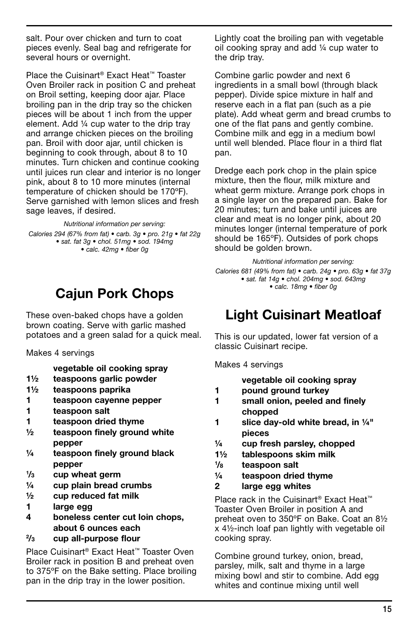salt. Pour over chicken and turn to coat pieces evenly. Seal bag and refrigerate for several hours or overnight.

Place the Cuisinart® Exact Heat™ Toaster Oven Broiler rack in position C and preheat on Broil setting, keeping door ajar. Place broiling pan in the drip tray so the chicken pieces will be about 1 inch from the upper element. Add ¼ cup water to the drip tray and arrange chicken pieces on the broiling pan. Broil with door ajar, until chicken is beginning to cook through, about 8 to 10 minutes. Turn chicken and continue cooking until juices run clear and interior is no longer pink, about 8 to 10 more minutes (internal temperature of chicken should be 170ºF). Serve garnished with lemon slices and fresh sage leaves, if desired.

*Nutritional information per serving:* 

*Calories 294 (67% from fat) • carb. 3g • pro. 21g • fat 22g • sat. fat 3g • chol. 51mg • sod. 194mg • calc. 42mg • fiber 0g*

# Cajun Pork Chops

These oven-baked chops have a golden brown coating. Serve with garlic mashed potatoes and a green salad for a quick meal.

Makes 4 servings

vegetable oil cooking spray

- 1½ teaspoons garlic powder
- 1½ teaspoons paprika
- 1 teaspoon cayenne pepper
- 1 teaspoon salt
- 1 teaspoon dried thyme
- $\frac{1}{2}$  teaspoon finely ground white pepper
- $\frac{1}{4}$  teaspoon finely ground black pepper
- $1/3$ cup wheat germ
- ¼ cup plain bread crumbs
- ½ cup reduced fat milk
- 1 large egg
- 4 boneless center cut loin chops, about 6 ounces each
- $2/r$ cup all-purpose flour

Place Cuisinart® Exact Heat™ Toaster Oven Broiler rack in position B and preheat oven to 375ºF on the Bake setting. Place broiling pan in the drip tray in the lower position.

Lightly coat the broiling pan with vegetable oil cooking spray and add ¼ cup water to the drip tray.

Combine garlic powder and next 6 ingredients in a small bowl (through black pepper). Divide spice mixture in half and reserve each in a flat pan (such as a pie plate). Add wheat germ and bread crumbs to one of the flat pans and gently combine. Combine milk and egg in a medium bowl until well blended. Place flour in a third flat pan.

Dredge each pork chop in the plain spice mixture, then the flour, milk mixture and wheat germ mixture. Arrange pork chops in a single layer on the prepared pan. Bake for 20 minutes; turn and bake until juices are clear and meat is no longer pink, about 20 minutes longer (internal temperature of pork should be 165ºF). Outsides of pork chops should be golden brown.

*Nutritional information per serving: Calories 681 (49% from fat) • carb. 24g • pro. 63g • fat 37g • sat. fat 14g • chol. 204mg • sod. 643mg • calc. 18mg • fiber 0g*

# Light Cuisinart Meatloaf

This is our updated, lower fat version of a classic Cuisinart recipe.

Makes 4 servings

|   | vegetable oil cooking spray               |
|---|-------------------------------------------|
| 1 | pound ground turkey                       |
| 1 | small onion, peeled and finely            |
|   | chopped                                   |
| 1 | slice day-old white bread, in 1/4"        |
|   | pieces                                    |
| ¼ | cup fresh parsley, chopped                |
|   | talika ing mga magalala ng kabangang Mala |

- 1½ tablespoons skim milk
- $1\frac{1}{8}$ teaspoon salt
- ¼ teaspoon dried thyme
- 2 large egg whites

Place rack in the Cuisinart<sup>®</sup> Exact Heat<sup>™</sup> Toaster Oven Broiler in position A and preheat oven to 350ºF on Bake. Coat an 8½ x 4½-inch loaf pan lightly with vegetable oil cooking spray.

Combine ground turkey, onion, bread, parsley, milk, salt and thyme in a large mixing bowl and stir to combine. Add egg whites and continue mixing until well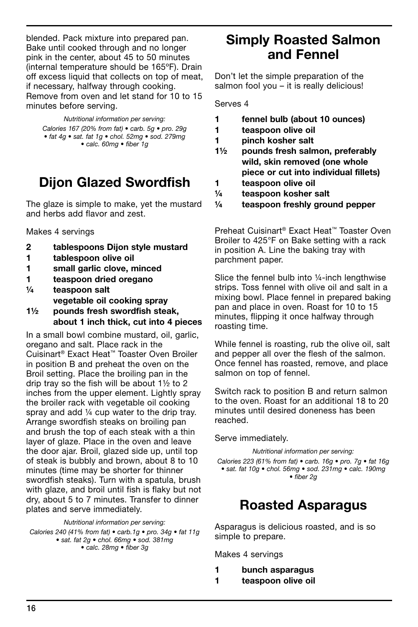blended. Pack mixture into prepared pan. Bake until cooked through and no longer pink in the center, about 45 to 50 minutes (internal temperature should be 165ºF). Drain off excess liquid that collects on top of meat, if necessary, halfway through cooking. Remove from oven and let stand for 10 to 15 minutes before serving.

*Nutritional information per serving:*

*Calories 167 (20% from fat) • carb. 5g • pro. 29g • fat 4g • sat. fat 1g • chol. 52mg • sod. 279mg • calc. 60mg • fiber 1g* 

# Dijon Glazed Swordfish

The glaze is simple to make, yet the mustard and herbs add flavor and zest.

Makes 4 servings

- 2 tablespoons Dijon style mustard
- 1 tablespoon olive oil
- 1 small garlic clove, minced
- 1 teaspoon dried oregano
- ¼ teaspoon salt vegetable oil cooking spray 1½ pounds fresh swordfish steak,
- about 1 inch thick, cut into 4 pieces

In a small bowl combine mustard, oil, garlic, oregano and salt. Place rack in the Cuisinart® Exact Heat™ Toaster Oven Broiler in position B and preheat the oven on the Broil setting. Place the broiling pan in the drip tray so the fish will be about 1½ to 2 inches from the upper element. Lightly spray the broiler rack with vegetable oil cooking spray and add  $\frac{1}{4}$  cup water to the drip tray. Arrange swordfish steaks on broiling pan and brush the top of each steak with a thin layer of glaze. Place in the oven and leave the door ajar. Broil, glazed side up, until top of steak is bubbly and brown, about 8 to 10 minutes (time may be shorter for thinner swordfish steaks). Turn with a spatula, brush with glaze, and broil until fish is flaky but not dry, about 5 to 7 minutes. Transfer to dinner plates and serve immediately.

*Nutritional information per serving:*

*Calories 240 (41% from fat) • carb.1g • pro. 34g • fat 11g • sat. fat 2g • chol. 66mg • sod. 381mg • calc. 28mg • fiber 3g*

## Simply Roasted Salmon and Fennel

Don't let the simple preparation of the salmon fool you - it is really delicious!

Serves 4

- 1 fennel bulb (about 10 ounces)
- 1 teaspoon olive oil
- 1 pinch kosher salt
- 1½ pounds fresh salmon, preferably wild, skin removed (one whole piece or cut into individual fillets)
- 1 teaspoon olive oil
- ¼ teaspoon kosher salt
- ¼ teaspoon freshly ground pepper

Preheat Cuisinart® Exact Heat™ Toaster Oven Broiler to 425°F on Bake setting with a rack in position A. Line the baking tray with parchment paper.

Slice the fennel bulb into ¼-inch lengthwise strips. Toss fennel with olive oil and salt in a mixing bowl. Place fennel in prepared baking pan and place in oven. Roast for 10 to 15 minutes, flipping it once halfway through roasting time.

While fennel is roasting, rub the olive oil, salt and pepper all over the flesh of the salmon. Once fennel has roasted, remove, and place salmon on top of fennel.

Switch rack to position B and return salmon to the oven. Roast for an additional 18 to 20 minutes until desired doneness has been reached.

Serve immediately.

*Nutritional information per serving: Calories 223 (61% from fat) • carb. 16g • pro. 7g • fat 16g* 

*• sat. fat 10g • chol. 56mg • sod. 231mg • calc. 190mg • fiber 2g*

# Roasted Asparagus

Asparagus is delicious roasted, and is so simple to prepare.

Makes 4 servings

- 1 bunch asparagus
- 1 teaspoon olive oil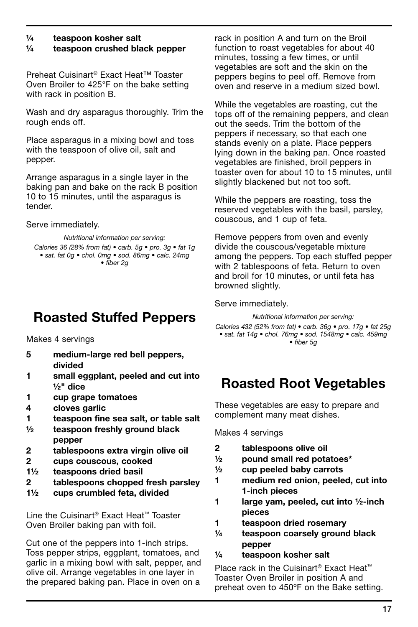#### ¼ teaspoon kosher salt ¼ teaspoon crushed black pepper

Preheat Cuisinart® Exact Heat™ Toaster Oven Broiler to 425°F on the bake setting with rack in position B.

Wash and dry asparagus thoroughly. Trim the rough ends off.

Place asparagus in a mixing bowl and toss with the teaspoon of olive oil, salt and pepper.

Arrange asparagus in a single layer in the baking pan and bake on the rack B position 10 to 15 minutes, until the asparagus is tender.

Serve immediately.

*Nutritional information per serving:*

*Calories 36 (28% from fat) • carb. 5g • pro. 3g • fat 1g • sat. fat 0g • chol. 0mg • sod. 86mg • calc. 24mg • fiber 2g*

# Roasted Stuffed Peppers

Makes 4 servings

- 5 medium-large red bell peppers, divided
- 1 small eggplant, peeled and cut into ½" dice
- 1 cup grape tomatoes
- 4 cloves garlic
- 1 teaspoon fine sea salt, or table salt
- ½ teaspoon freshly ground black pepper
- 2 tablespoons extra virgin olive oil
- 2 cups couscous, cooked
- 1½ teaspoons dried basil
- 2 tablespoons chopped fresh parsley
- 1½ cups crumbled feta, divided

Line the Cuisinart® Exact Heat™ Toaster Oven Broiler baking pan with foil.

Cut one of the peppers into 1-inch strips. Toss pepper strips, eggplant, tomatoes, and garlic in a mixing bowl with salt, pepper, and olive oil. Arrange vegetables in one layer in the prepared baking pan. Place in oven on a

rack in position A and turn on the Broil function to roast vegetables for about 40 minutes, tossing a few times, or until vegetables are soft and the skin on the peppers begins to peel off. Remove from oven and reserve in a medium sized bowl.

While the vegetables are roasting, cut the tops off of the remaining peppers, and clean out the seeds. Trim the bottom of the peppers if necessary, so that each one stands evenly on a plate. Place peppers lying down in the baking pan. Once roasted vegetables are finished, broil peppers in toaster oven for about 10 to 15 minutes, until slightly blackened but not too soft.

While the peppers are roasting, toss the reserved vegetables with the basil, parsley, couscous, and 1 cup of feta.

Remove peppers from oven and evenly divide the couscous/vegetable mixture among the peppers. Top each stuffed pepper with 2 tablespoons of feta. Return to oven and broil for 10 minutes, or until feta has browned slightly.

Serve immediately.

*Nutritional information per serving: Calories 432 (52% from fat) • carb. 36g • pro. 17g • fat 25g • sat. fat 14g • chol. 76mg • sod. 1548mg • calc. 459mg • fiber 5g*

# Roasted Root Vegetables

These vegetables are easy to prepare and complement many meat dishes.

Makes 4 servings

- 2 tablespoons olive oil
- ½ pound small red potatoes\*
- ½ cup peeled baby carrots
- 1 medium red onion, peeled, cut into 1-inch pieces
- 1 large yam, peeled, cut into 1/2-inch pieces
- 1 teaspoon dried rosemary
- ¼ teaspoon coarsely ground black pepper

#### ¼ teaspoon kosher salt

Place rack in the Cuisinart® Exact Heat™ Toaster Oven Broiler in position A and preheat oven to 450ºF on the Bake setting.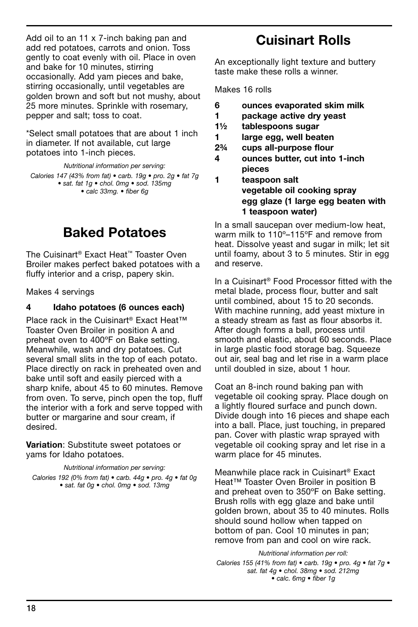Add oil to an 11 x 7-inch baking pan and add red potatoes, carrots and onion. Toss gently to coat evenly with oil. Place in oven and bake for 10 minutes, stirring occasionally. Add yam pieces and bake, stirring occasionally, until vegetables are golden brown and soft but not mushy, about 25 more minutes. Sprinkle with rosemary, pepper and salt; toss to coat.

\*Select small potatoes that are about 1 inch in diameter. If not available, cut large potatoes into 1-inch pieces.

*Nutritional information per serving: Calories 147 (43% from fat) • carb. 19g • pro. 2g • fat 7g • sat. fat 1g • chol. 0mg • sod. 135mg • calc 33mg. • fiber 6g*

## Baked Potatoes

The Cuisinart® Exact Heat™ Toaster Oven Broiler makes perfect baked potatoes with a fluffy interior and a crisp, papery skin.

Makes 4 servings

#### 4 Idaho potatoes (6 ounces each)

Place rack in the Cuisinart® Exact Heat™ Toaster Oven Broiler in position A and preheat oven to 400ºF on Bake setting. Meanwhile, wash and dry potatoes. Cut several small slits in the top of each potato. Place directly on rack in preheated oven and bake until soft and easily pierced with a sharp knife, about 45 to 60 minutes. Remove from oven. To serve, pinch open the top, fluff the interior with a fork and serve topped with butter or margarine and sour cream, if desired.

Variation: Substitute sweet potatoes or yams for Idaho potatoes.

*Nutritional information per serving: Calories 192 (0% from fat) • carb. 44g • pro. 4g • fat 0g • sat. fat 0g • chol. 0mg • sod. 13mg*

## Cuisinart Rolls

An exceptionally light texture and buttery taste make these rolls a winner.

Makes 16 rolls

- 6 ounces evaporated skim milk
- 1 package active dry yeast
- 1½ tablespoons sugar
- 1 large egg, well beaten
- 2¾ cups all-purpose flour
- 4 ounces butter, cut into 1-inch pieces
- 1 teaspoon salt vegetable oil cooking spray egg glaze (1 large egg beaten with 1 teaspoon water)

In a small saucepan over medium-low heat, warm milk to 110º–115ºF and remove from heat. Dissolve yeast and sugar in milk; let sit until foamy, about 3 to 5 minutes. Stir in egg and reserve.

In a Cuisinart® Food Processor fitted with the metal blade, process flour, butter and salt until combined, about 15 to 20 seconds. With machine running, add yeast mixture in a steady stream as fast as flour absorbs it. After dough forms a ball, process until smooth and elastic, about 60 seconds. Place in large plastic food storage bag. Squeeze out air, seal bag and let rise in a warm place until doubled in size, about 1 hour.

Coat an 8-inch round baking pan with vegetable oil cooking spray. Place dough on a lightly floured surface and punch down. Divide dough into 16 pieces and shape each into a ball. Place, just touching, in prepared pan. Cover with plastic wrap sprayed with vegetable oil cooking spray and let rise in a warm place for 45 minutes.

Meanwhile place rack in Cuisinart® Exact Heat™ Toaster Oven Broiler in position B and preheat oven to 350ºF on Bake setting. Brush rolls with egg glaze and bake until golden brown, about 35 to 40 minutes. Rolls should sound hollow when tapped on bottom of pan. Cool 10 minutes in pan; remove from pan and cool on wire rack.

*Nutritional information per roll: Calories 155 (41% from fat) • carb. 19g • pro. 4g • fat 7g • sat. fat 4g • chol. 38mg • sod. 212mg • calc. 6mg • fiber 1g*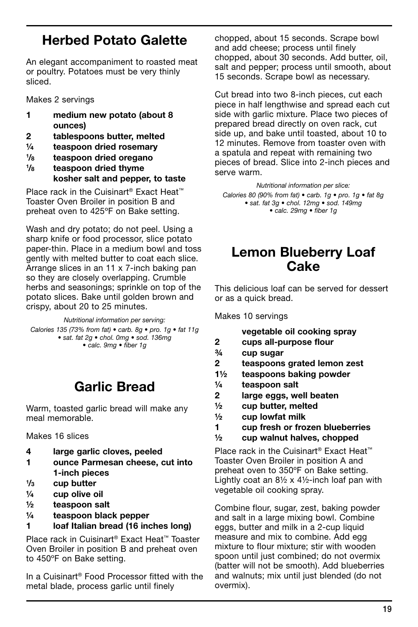## Herbed Potato Galette

An elegant accompaniment to roasted meat or poultry. Potatoes must be very thinly sliced.

Makes 2 servings

- 1 medium new potato (about 8 ounces)
- 2 tablespoons butter, melted
- ¼ teaspoon dried rosemary
- $1\frac{1}{8}$ teaspoon dried oregano
- $1\frac{1}{8}$ teaspoon dried thyme kosher salt and pepper, to taste

Place rack in the Cuisinart® Exact Heat<sup>™</sup> Toaster Oven Broiler in position B and preheat oven to 425ºF on Bake setting.

Wash and dry potato; do not peel. Using a sharp knife or food processor, slice potato paper-thin. Place in a medium bowl and toss gently with melted butter to coat each slice. Arrange slices in an 11 x 7-inch baking pan so they are closely overlapping. Crumble herbs and seasonings; sprinkle on top of the potato slices. Bake until golden brown and crispy, about 20 to 25 minutes.

*Nutritional information per serving:*

*Calories 135 (73% from fat) • carb. 8g • pro. 1g • fat 11g • sat. fat 2g • chol. 0mg • sod. 136mg • calc. 9mg • fiber 1g*

# Garlic Bread

Warm, toasted garlic bread will make any meal memorable.

Makes 16 slices

- 4 large garlic cloves, peeled
- 1 ounce Parmesan cheese, cut into 1-inch pieces
- $1/3$ cup butter
- ¼ cup olive oil
- ½ teaspoon salt
- ¼ teaspoon black pepper
- 1 loaf Italian bread (16 inches long)

Place rack in Cuisinart® Exact Heat™ Toaster Oven Broiler in position B and preheat oven to 450ºF on Bake setting.

In a Cuisinart® Food Processor fitted with the metal blade, process garlic until finely

chopped, about 15 seconds. Scrape bowl and add cheese; process until finely chopped, about 30 seconds. Add butter, oil, salt and pepper; process until smooth, about 15 seconds. Scrape bowl as necessary.

Cut bread into two 8-inch pieces, cut each piece in half lengthwise and spread each cut side with garlic mixture. Place two pieces of prepared bread directly on oven rack, cut side up, and bake until toasted, about 10 to 12 minutes. Remove from toaster oven with a spatula and repeat with remaining two pieces of bread. Slice into 2-inch pieces and serve warm.

*Nutritional information per slice: Calories 80 (90% from fat) • carb. 1g • pro. 1g • fat 8g • sat. fat 3g • chol. 12mg • sod. 149mg • calc. 29mg • fiber 1g*

## Lemon Blueberry Loaf **Cake**

This delicious loaf can be served for dessert or as a quick bread.

Makes 10 servings

| vegetable oil cooking spray |  |  |  |
|-----------------------------|--|--|--|
|-----------------------------|--|--|--|

- 2 cups all-purpose flour
- ¾ cup sugar
- 2 teaspoons grated lemon zest
- 1½ teaspoons baking powder
- ¼ teaspoon salt
- 2 large eggs, well beaten
- ½ cup butter, melted
- $\frac{1}{2}$  cup lowfat milk
- 1 cup fresh or frozen blueberries
- ½ cup walnut halves, chopped

Place rack in the Cuisinart® Exact Heat™ Toaster Oven Broiler in position A and preheat oven to 350ºF on Bake setting. Lightly coat an  $8\frac{1}{2} \times 4\frac{1}{2}$ -inch loaf pan with vegetable oil cooking spray.

Combine flour, sugar, zest, baking powder and salt in a large mixing bowl. Combine eggs, butter and milk in a 2-cup liquid measure and mix to combine. Add egg mixture to flour mixture; stir with wooden spoon until just combined; do not overmix (batter will not be smooth). Add blueberries and walnuts; mix until just blended (do not overmix).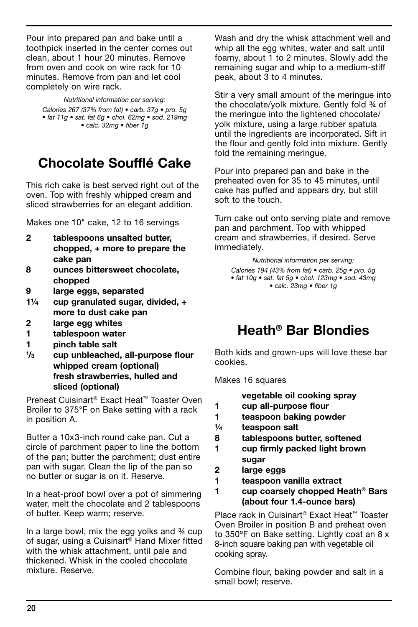Pour into prepared pan and bake until a toothpick inserted in the center comes out clean, about 1 hour 20 minutes. Remove from oven and cook on wire rack for 10 minutes. Remove from pan and let cool completely on wire rack.

*Nutritional information per serving: Calories 267 (37% from fat) • carb. 37g • pro. 5g • fat 11g • sat. fat 6g • chol. 62mg • sod. 219mg • calc. 32mg • fiber 1g*

# Chocolate Soufflé Cake

This rich cake is best served right out of the oven. Top with freshly whipped cream and sliced strawberries for an elegant addition.

Makes one 10" cake, 12 to 16 servings

- 2 tablespoons unsalted butter, chopped, + more to prepare the cake pan
- 8 ounces bittersweet chocolate, chopped
- 9 large eggs, separated
- 1¼ cup granulated sugar, divided, + more to dust cake pan
- 2 large egg whites
- 1 tablespoon water
- 1 pinch table salt
- $1/3$ cup unbleached, all-purpose flour whipped cream (optional) fresh strawberries, hulled and sliced (optional)

Preheat Cuisinart® Exact Heat™ Toaster Oven Broiler to 375°F on Bake setting with a rack in position A.

Butter a 10x3-inch round cake pan. Cut a circle of parchment paper to line the bottom of the pan; butter the parchment; dust entire pan with sugar. Clean the lip of the pan so no butter or sugar is on it. Reserve.

In a heat-proof bowl over a pot of simmering water, melt the chocolate and 2 tablespoons of butter. Keep warm; reserve.

In a large bowl, mix the egg yolks and ¾ cup of sugar, using a Cuisinart® Hand Mixer fitted with the whisk attachment, until pale and thickened. Whisk in the cooled chocolate mixture. Reserve.

Wash and dry the whisk attachment well and whip all the egg whites, water and salt until foamy, about 1 to 2 minutes. Slowly add the remaining sugar and whip to a medium-stiff peak, about 3 to 4 minutes.

Stir a very small amount of the meringue into the chocolate/yolk mixture. Gently fold ¾ of the meringue into the lightened chocolate/ yolk mixture, using a large rubber spatula until the ingredients are incorporated. Sift in the flour and gently fold into mixture. Gently fold the remaining meringue.

Pour into prepared pan and bake in the preheated oven for 35 to 45 minutes, until cake has puffed and appears dry, but still soft to the touch.

Turn cake out onto serving plate and remove pan and parchment. Top with whipped cream and strawberries, if desired. Serve immediately.

*Nutritional information per serving: Calories 194 (43% from fat) • carb. 25g • pro. 5g • fat 10g • sat. fat 5g • chol. 123mg • sod. 43mg • calc. 23mg • fiber 1g*

## Heath® Bar Blondies

Both kids and grown-ups will love these bar cookies.

Makes 16 squares

vegetable oil cooking spray

- 1 cup all-purpose flour
- 1 teaspoon baking powder
- ¼ teaspoon salt
- 8 tablespoons butter, softened
- 1 cup firmly packed light brown sugar
- 2 large eggs
- 1 teaspoon vanilla extract
- 1 cup coarsely chopped Heath® Bars (about four 1.4-ounce bars)

Place rack in Cuisinart® Exact Heat™ Toaster Oven Broiler in position B and preheat oven to 350ºF on Bake setting. Lightly coat an 8 x 8-inch square baking pan with vegetable oil cooking spray.

Combine flour, baking powder and salt in a small bowl; reserve.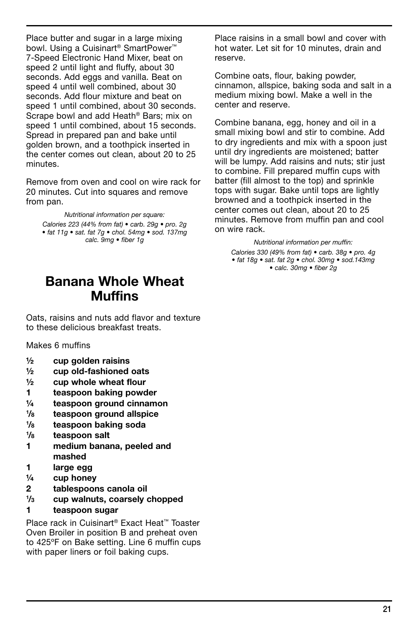Place butter and sugar in a large mixing bowl. Using a Cuisinart® SmartPower™ 7-Speed Electronic Hand Mixer, beat on speed 2 until light and fluffy, about 30 seconds. Add eggs and vanilla. Beat on speed 4 until well combined, about 30 seconds. Add flour mixture and beat on speed 1 until combined, about 30 seconds. Scrape bowl and add Heath® Bars; mix on speed 1 until combined, about 15 seconds. Spread in prepared pan and bake until golden brown, and a toothpick inserted in the center comes out clean, about 20 to 25 minutes.

Remove from oven and cool on wire rack for 20 minutes. Cut into squares and remove from pan.

*Nutritional information per square: Calories 223 (44% from fat) • carb. 29g • pro. 2g • fat 11g • sat. fat 7g • chol. 54mg • sod. 137mg calc. 9mg • fiber 1g*

## Banana Whole Wheat Muffins

Oats, raisins and nuts add flavor and texture to these delicious breakfast treats.

Makes 6 muffins

- $\frac{1}{2}$  cup golden raisins
- ½ cup old-fashioned oats
- $\frac{1}{2}$  cup whole wheat flour
- 1 teaspoon baking powder
- ¼ teaspoon ground cinnamon
- $1\frac{1}{8}$ teaspoon ground allspice
- $1\frac{1}{R}$ teaspoon baking soda
- $1\frac{1}{8}$ teaspoon salt
- 1 medium banana, peeled and mashed
- 1 large egg
- $\frac{1}{4}$  cup honey
- 2 tablespoons canola oil
- $1/3$ cup walnuts, coarsely chopped
- 1 teaspoon sugar

Place rack in Cuisinart® Exact Heat™ Toaster Oven Broiler in position B and preheat oven to 425ºF on Bake setting. Line 6 muffin cups with paper liners or foil baking cups.

Place raisins in a small bowl and cover with hot water. Let sit for 10 minutes, drain and reserve.

Combine oats, flour, baking powder, cinnamon, allspice, baking soda and salt in a medium mixing bowl. Make a well in the center and reserve.

Combine banana, egg, honey and oil in a small mixing bowl and stir to combine. Add to dry ingredients and mix with a spoon just until dry ingredients are moistened; batter will be lumpy. Add raisins and nuts; stir just to combine. Fill prepared muffin cups with batter (fill almost to the top) and sprinkle tops with sugar. Bake until tops are lightly browned and a toothpick inserted in the center comes out clean, about 20 to 25 minutes. Remove from muffin pan and cool on wire rack.

*Nutritional information per muffin: Calories 330 (49% from fat) • carb. 38g • pro. 4g • fat 18g • sat. fat 2g • chol. 30mg • sod.143mg • calc. 30mg • fiber 2g*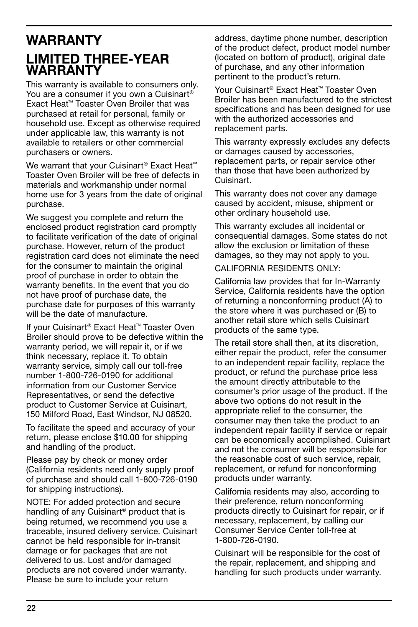## **WARRANTY** Limited three-year **WARRANTY**

This warranty is available to consumers only. You are a consumer if you own a Cuisinart® Exact Heat™ Toaster Oven Broiler that was purchased at retail for personal, family or household use. Except as otherwise required under applicable law, this warranty is not available to retailers or other commercial purchasers or owners.

We warrant that your Cuisinart<sup>®</sup> Exact Heat<sup>™</sup> Toaster Oven Broiler will be free of defects in materials and workmanship under normal home use for 3 years from the date of original purchase.

We suggest you complete and return the enclosed product registration card promptly to facilitate verification of the date of original purchase. However, return of the product registration card does not eliminate the need for the consumer to maintain the original proof of purchase in order to obtain the warranty benefits. In the event that you do not have proof of purchase date, the purchase date for purposes of this warranty will be the date of manufacture.

If your Cuisinart® Exact Heat™ Toaster Oven Broiler should prove to be defective within the warranty period, we will repair it, or if we think necessary, replace it. To obtain warranty service, simply call our toll-free number 1-800-726-0190 for additional information from our Customer Service Representatives, or send the defective product to Customer Service at Cuisinart, 150 Milford Road, East Windsor, NJ 08520.

To facilitate the speed and accuracy of your return, please enclose \$10.00 for shipping and handling of the product.

Please pay by check or money order (California residents need only supply proof of purchase and should call 1-800-726-0190 for shipping instructions).

NOTE: For added protection and secure handling of any Cuisinart® product that is being returned, we recommend you use a traceable, insured delivery service. Cuisinart cannot be held responsible for in-transit damage or for packages that are not delivered to us. Lost and/or damaged products are not covered under warranty. Please be sure to include your return

address, daytime phone number, description of the product defect, product model number (located on bottom of product), original date of purchase, and any other information pertinent to the product's return.

Your Cuisinart® Exact Heat™ Toaster Oven Broiler has been manufactured to the strictest specifications and has been designed for use with the authorized accessories and replacement parts.

This warranty expressly excludes any defects or damages caused by accessories, replacement parts, or repair service other than those that have been authorized by Cuisinart.

This warranty does not cover any damage caused by accident, misuse, shipment or other ordinary household use.

This warranty excludes all incidental or consequential damages. Some states do not allow the exclusion or limitation of these damages, so they may not apply to you.

CALIFORNIA RESIDENTS ONLY:

California law provides that for In-Warranty Service, California residents have the option of returning a nonconforming product (A) to the store where it was purchased or (B) to another retail store which sells Cuisinart products of the same type.

The retail store shall then, at its discretion, either repair the product, refer the consumer to an independent repair facility, replace the product, or refund the purchase price less the amount directly attributable to the consumer's prior usage of the product. If the above two options do not result in the appropriate relief to the consumer, the consumer may then take the product to an independent repair facility if service or repair can be economically accomplished. Cuisinart and not the consumer will be responsible for the reasonable cost of such service, repair, replacement, or refund for nonconforming products under warranty.

California residents may also, according to their preference, return nonconforming products directly to Cuisinart for repair, or if necessary, replacement, by calling our Consumer Service Center toll-free at 1-800-726-0190.

Cuisinart will be responsible for the cost of the repair, replacement, and shipping and handling for such products under warranty.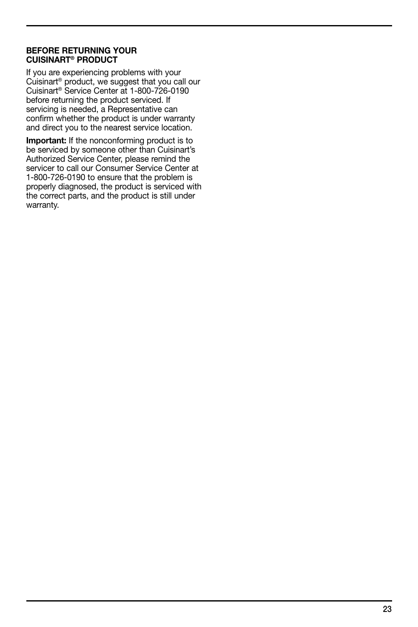#### BEFORE RETURNING YOUR CUISINART® PRODUCT

If you are experiencing problems with your Cuisinart® product, we suggest that you call our Cuisinart® Service Center at 1-800-726-0190 before returning the product serviced. If servicing is needed, a Representative can confirm whether the product is under warranty and direct you to the nearest service location.

Important: If the nonconforming product is to be serviced by someone other than Cuisinart's Authorized Service Center, please remind the servicer to call our Consumer Service Center at 1-800-726-0190 to ensure that the problem is properly diagnosed, the product is serviced with the correct parts, and the product is still under warranty.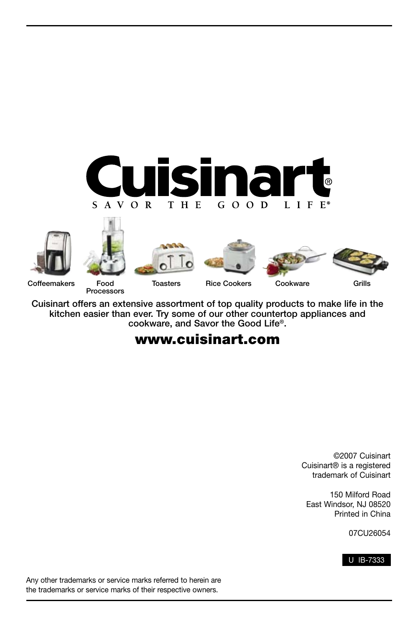













Coffeemakers Food

Processors

Cuisinart offers an extensive assortment of top quality products to make life in the kitchen easier than ever. Try some of our other countertop appliances and cookware, and Savor the Good Life®.

## www.cuisinart.com

©2007 Cuisinart Cuisinart® is a registered trademark of Cuisinart

150 Milford Road East Windsor, NJ 08520 Printed in China

07CU26054



Any other trademarks or service marks referred to herein are the trademarks or service marks of their respective owners.